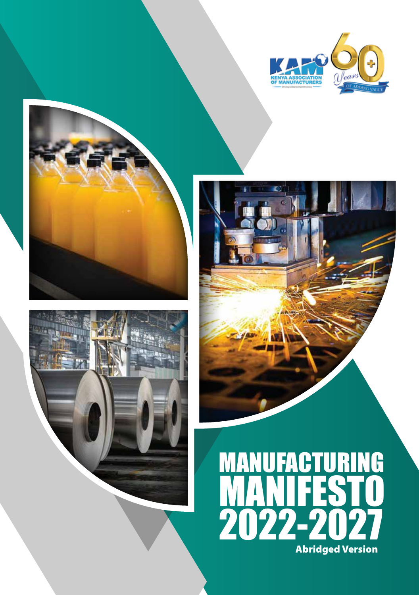

ō





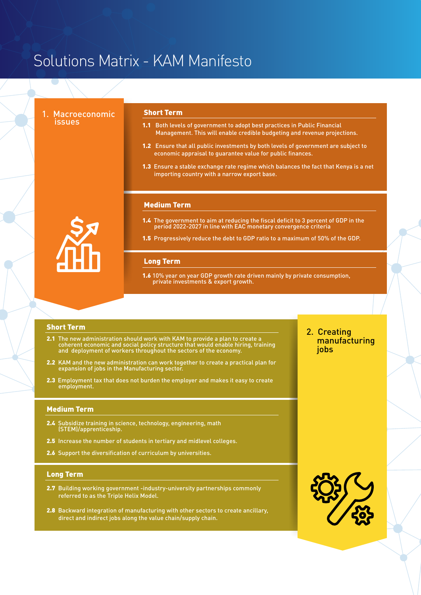# Solutions Matrix - KAM Manifesto

1. Macroeconomic<br>issues

#### Short Term

- 1.1 Both levels of government to adopt best practices in Public Financial Management. This will enable credible budgeting and revenue projections.
- 1.2 Ensure that all public investments by both levels of government are subject to economic appraisal to guarantee value for public finances.
- 1.3 Ensure a stable exchange rate regime which balances the fact that Kenya is a net importing country with a narrow export base.

#### Medium Term

- 1.4 The government to aim at reducing the fiscal deficit to 3 percent of GDP in the period 2022-2027 in line with EAC monetary convergence criteria
- 1.5 Progressively reduce the debt to GDP ratio to a maximum of 50% of the GDP.

#### Long Term

1.6 10% year on year GDP growth rate driven mainly by private consumption. private investments & export growth.

#### Short Term

- 2.1 The new administration should work with KAM to provide a plan to create a coherent economic and social policy structure that would enable hiring, training and deployment of workers throughout the sectors of the economy.
- 2.2 KAM and the new administration can work together to create a practical plan for expansion of jobs in the Manufacturing sector.
- 2.3 Employment tax that does not burden the employer and makes it easy to create employment.

#### Medium Term

- 2.4 Subsidize training in science, technology, engineering, math (STEM)/apprenticeship.
- 2.5 Increase the number of students in tertiary and midlevel colleges.
- 2.6 Support the diversification of curriculum by universities.

#### Long Term

- 2.7 Building working government -industry-university partnerships commonly referred to as the Triple Helix Model.
- 2.8 Backward integration of manufacturing with other sectors to create ancillary, direct and indirect jobs along the value chain/supply chain.

# 2. Creating manufacturing jobs



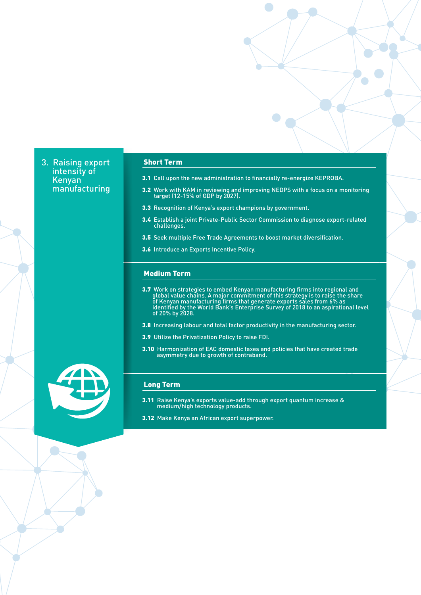3. Raising export intensity of Kenyan manufacturing

### Short Term

- 3.1 Call upon the new administration to financially re-energize KEPROBA.
- **3.2** Work with KAM in reviewing and improving NEDPS with a focus on a monitoring target (12-15% of GDP by 2027).
- 3.3 Recognition of Kenya's export champions by government.
- 3.4 Establish a joint Private-Public Sector Commission to diagnose export-related challenges.
- 3.5 Seek multiple Free Trade Agreements to boost market diversification.
- 3.6 Introduce an Exports Incentive Policy.

#### Medium Term

- 3.7 Work on strategies to embed Kenyan manufacturing firms into regional and global value chains. A major commitment of this strategy is to raise the share of Kenyan manufacturing firms that generate exports sales from 6% as identified by the World Bank's Enterprise Survey of 2018 to an aspirational level of 20% by 2028.
- 3.8 Increasing labour and total factor productivity in the manufacturing sector.
- 3.9 Utilize the Privatization Policy to raise FDI.
- 3.10 Harmonization of EAC domestic taxes and policies that have created trade asymmetry due to growth of contraband.



- 3.11 Raise Kenya's exports value-add through export quantum increase & medium/high technology products.
- 3.12 Make Kenya an African export superpower.

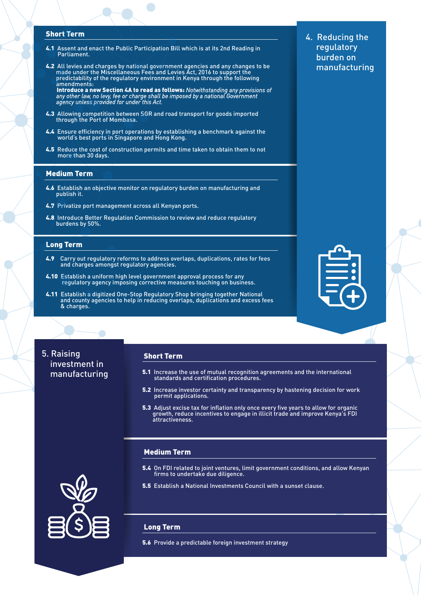#### Short Term

- 4.1 Assent and enact the Public Participation Bill which is at its 2nd Reading in Parliament.
- 4.2 All levies and charges by national government agencies and any changes to be made under the Miscellaneous Fees and Levies Act, 2016 to support the predictability of the regulatory environment in Kenya through the following amendments:

 Introduce a new Section 4A to read as follows: *Notwithstanding any provisions of any other law, no levy, fee or charge shall be imposed by a national Government agency unless provided for under this Act.*

- 4.3 Allowing competition between SGR and road transport for goods imported through the Port of Mombasa.
- 4.4 Ensure efficiency in port operations by establishing a benchmark against the world's best ports in Singapore and Hong Kong.
- 4.5 Reduce the cost of construction permits and time taken to obtain them to not more than 30 days.

#### Medium Term

- 4.6 Establish an objective monitor on regulatory burden on manufacturing and publish it.
- 4.7 Privatize port management across all Kenyan ports.
- 4.8 Introduce Better Regulation Commission to review and reduce regulatory burdens by 50%.

#### Long Term

- 4.9 Carry out regulatory reforms to address overlaps, duplications, rates for fees and charges amongst regulatory agencies.
- 4.10 Establish a uniform high level government approval process for any regulatory agency imposing corrective measures touching on business.
- 4.11 Establish a digitized One-Stop Regulatory Shop bringing together National and county agencies to help in reducing overlaps, duplications and excess fees **Example 18 Section 8 charges.**



5. Raising investment in

#### Short Term

- manufacturing 5.1 Increase the use of mutual recognition agreements and the international standards and certification procedures.
	- 5.2 Increase investor certainty and transparency by hastening decision for work permit applications.
	- 5.3 Adjust excise tax for inflation only once every five years to allow for organic growth, reduce incentives to engage in illicit trade and improve Kenya's FDI attractiveness.

### Medium Term

- 5.4 On FDI related to joint ventures, limit government conditions, and allow Kenyan firms to undertake due diligence.
- 5.5 Establish a National Investments Council with a sunset clause.

#### Long Term

5.6 Provide a predictable foreign investment strategy

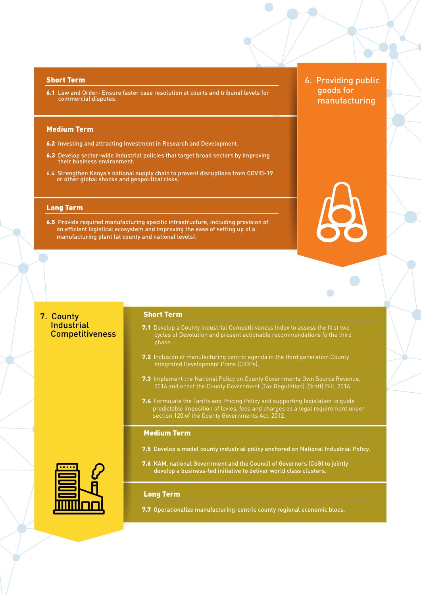#### Short Term

6.1 Law and Order- Ensure faster case resolution at courts and tribunal levels for commercial disputes.

#### Medium Term

- 6.2 Investing and attracting Investment in Research and Development.
- 6.3 Develop sector-wide Industrial policies that target broad sectors by improving their business environment.
- 6.4 Strengthen Kenya's national supply chain to prevent disruptions from COVID-19 or other global shocks and geopolitical risks.

#### Long Term

6.5 Provide required manufacturing specific infrastructure, including provision of an efficient logistical ecosystem and improving the ease of setting up of a manufacturing plant (at county and national levels).

6. Providing public goods for manufacturing

 $\Box$ 

# 7. County **Industrial Competitiveness**

#### Short Term

- **7.1** Develop a County Industrial Competitiveness Index to assess the first two cycles of Devolution and present actionable recommendations fo the third phase.
- 7.2 Inclusion of manufacturing centric agenda in the third generation County Integrated Development Plans (CIDPs).
- **7.3** Implement the National Policy on County Governments Own Source Revenue. 2016 and enact the County Government (Tax Regulation) (Draft) Bill, 2016.
- 7.4 Formulate the Tariffs and Pricing Policy and supporting legislation to guide predictable imposition of levies, fees and charges as a legal requirement under section 120 of the County Governments Act, 2012.

#### Medium Term

- 7.5 Develop a model county industrial policy anchored on National Industrial Policy.
- 7.6 KAM, national Government and the Council of Governors (CoG) to jointly develop a business-led initiative to deliver world class clusters.

## Long Term

7.7 Operationalize manufacturing-centric county regional economic blocs.

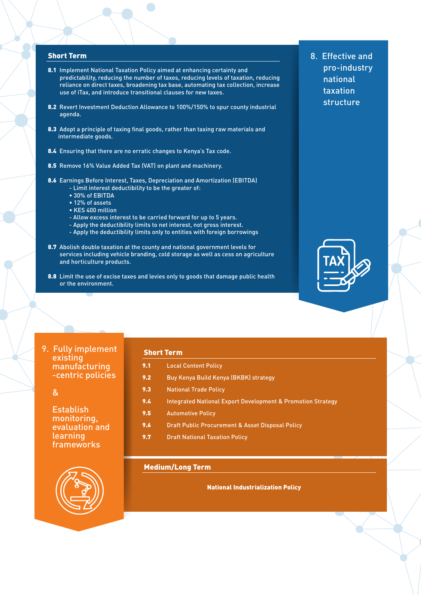#### Short Term

- 8.1 Implement National Taxation Policy aimed at enhancing certainty and predictability, reducing the number of taxes, reducing levels of taxation, reducing reliance on direct taxes, broadening tax base, automating tax collection, increase use of iTax, and introduce transitional clauses for new taxes.
- 8.2 Revert Investment Deduction Allowance to 100%/150% to spur county industrial agenda.
- 8.3 Adopt a principle of taxing final goods, rather than taxing raw materials and intermediate goods.
- 8.4 Ensuring that there are no erratic changes to Kenya's Tax code.
- 8.5 Remove 16% Value Added Tax (VAT) on plant and machinery.
- 8.6 Earnings Before Interest, Taxes, Depreciation and Amortization (EBITDA) - Limit interest deductibility to be the greater of:
	- 30% of EBITDA
	-
	- 12% of assets
	- KES 400 million
	- Allow excess interest to be carried forward for up to 5 years.
	- Apply the deductibility limits to net interest, not gross interest.
	- Apply the deductibility limits only to entities with foreign borrowings
- 8.7 Abolish double taxation at the county and national government levels for services including vehicle branding, cold storage as well as cess on agriculture and horticulture products.
- 8.8 Limit the use of excise taxes and levies only to goods that damage public health or the environment.
- 9. Fully implement existing manufacturing -centric policies

# &

**Establish**  monitoring, evaluation and learning frameworks



#### Short Term

- 9.1 Local Content Policy
- 9.2 Buy Kenya Build Kenya (BKBK) strategy
- 9.3 National Trade Policy
- 9.4 Integrated National Export Development & Promotion Strategy
- 9.5 Automotive Policy
- 9.6 Draft Public Procurement & Asset Disposal Policy
- 9.7 Draft National Taxation Policy

## Medium/Long Term

National Industrialization Policy

8. Effective and pro-industry national taxation structure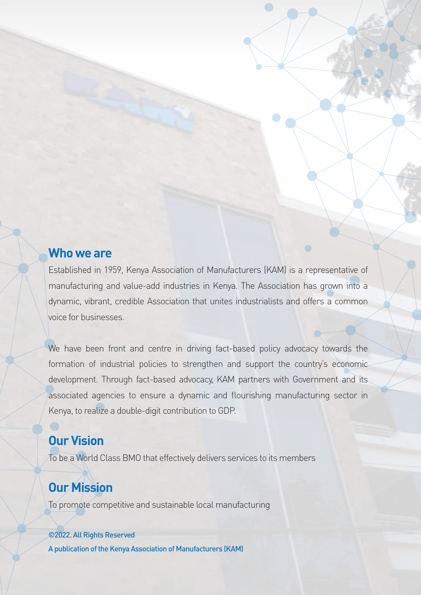# **Who we are**

Established in 1959, Kenya Association of Manufacturers (KAM) is a representative of manufacturing and value-add industries in Kenya. The Association has grown into a dynamic, vibrant, credible Association that unites industrialists and offers a common voice for businesses.

We have been front and centre in driving fact-based policy advocacy towards the formation of industrial policies to strengthen and support the country's economic development. Through fact-based advocacy, KAM partners with Government and its associated agencies to ensure a dynamic and flourishing manufacturing sector in Kenya, to realize a double-digit contribution to GDP.

# **Our Vision**

To be a World Class BMO that effectively delivers services to its members

# **Our Mission**

To promote competitive and sustainable local manufacturing

# ©2022. All Rights Reserved

A publication of the Kenya Association of Manufacturers (KAM)